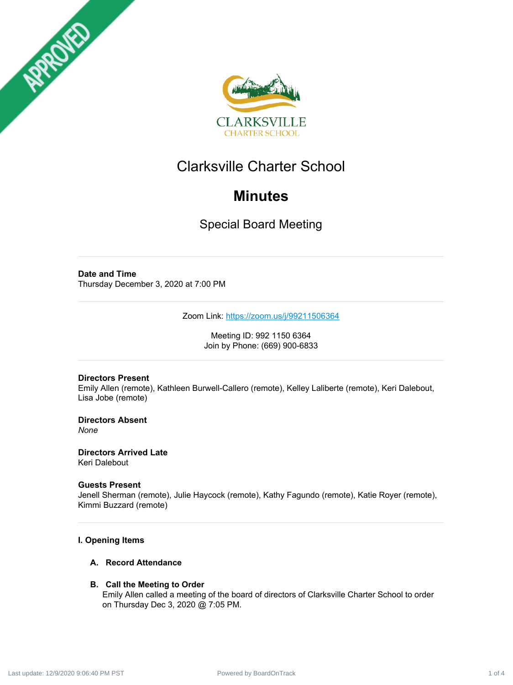



# Clarksville Charter School

# **Minutes**

Special Board Meeting

# **Date and Time** Thursday December 3, 2020 at 7:00 PM

Zoom Link: <https://zoom.us/j/99211506364>

Meeting ID: 992 1150 6364 Join by Phone: (669) 900-6833

# **Directors Present**

Emily Allen (remote), Kathleen Burwell-Callero (remote), Kelley Laliberte (remote), Keri Dalebout, Lisa Jobe (remote)

**Directors Absent** *None*

**Directors Arrived Late** Keri Dalebout

## **Guests Present**

Jenell Sherman (remote), Julie Haycock (remote), Kathy Fagundo (remote), Katie Royer (remote), Kimmi Buzzard (remote)

# **I. Opening Items**

## **A. Record Attendance**

## **B. Call the Meeting to Order**

Emily Allen called a meeting of the board of directors of Clarksville Charter School to order on Thursday Dec 3, 2020 @ 7:05 PM.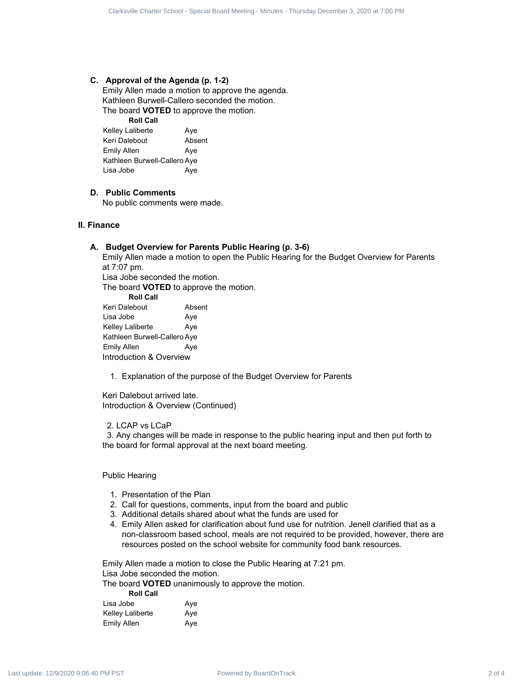#### **C. Approval of the Agenda (p. 1-2)**

Emily Allen made a motion to approve the agenda. Kathleen Burwell-Callero seconded the motion. The board **VOTED** to approve the motion.

**Roll Call** Kelley Laliberte **Aye** Keri Dalebout Absent Emily Allen Aye Kathleen Burwell-Callero Aye Lisa Jobe Aye

### **D. Public Comments**

No public comments were made.

#### **II. Finance**

#### **A. Budget Overview for Parents Public Hearing (p. 3-6)**

Emily Allen made a motion to open the Public Hearing for the Budget Overview for Parents at 7:07 pm. Lisa Jobe seconded the motion.

The board **VOTED** to approve the motion.

**Roll Call** Keri Dalebout Absent Lisa Jobe **Aye** 

Kelley Laliberte **Aye** Kathleen Burwell-Callero Aye Emily Allen Aye Introduction & Overview

1. Explanation of the purpose of the Budget Overview for Parents

Keri Dalebout arrived late. Introduction & Overview (Continued)

#### 2. LCAP vs LCaP

3. Any changes will be made in response to the public hearing input and then put forth to the board for formal approval at the next board meeting.

#### Public Hearing

- 1. Presentation of the Plan
- 2. Call for questions, comments, input from the board and public
- 3. Additional details shared about what the funds are used for
- 4. Emily Allen asked for clarification about fund use for nutrition. Jenell clarified that as a non-classroom based school, meals are not required to be provided, however, there are resources posted on the school website for community food bank resources. Power distributed by Board 2 of 4 Clarksville Charter School - Special Board 2 of 4 Clarksville Charter School - Special Board Meeting - The Charter School - Special Board Meeting - Minutes - The Charter School - Specia

Emily Allen made a motion to close the Public Hearing at 7:21 pm. Lisa Jobe seconded the motion.

The board **VOTED** unanimously to approve the motion.

#### **Roll Call**

| Lisa Jobe               | Ave |
|-------------------------|-----|
| <b>Kelley Laliberte</b> | Ave |
| <b>Emily Allen</b>      | Ave |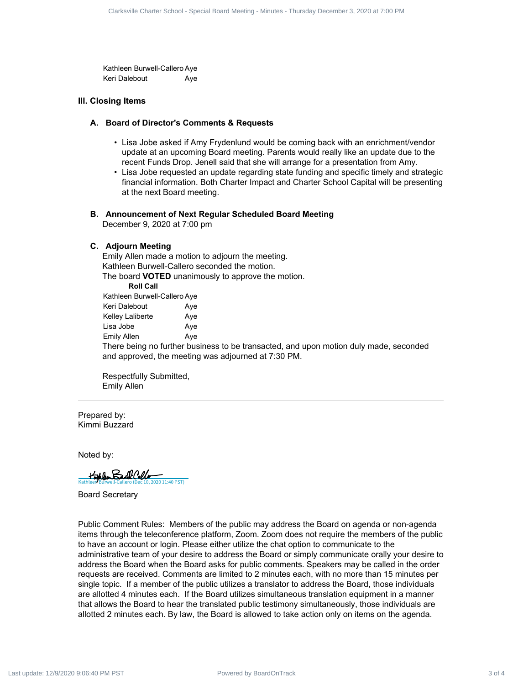Kathleen Burwell-Callero Aye Keri Dalebout **Aye** 

#### **III. Closing Items**

#### **A. Board of Director's Comments & Requests**

- Lisa Jobe asked if Amy Frydenlund would be coming back with an enrichment/vendor update at an upcoming Board meeting. Parents would really like an update due to the recent Funds Drop. Jenell said that she will arrange for a presentation from Amy.
- Lisa Jobe requested an update regarding state funding and specific timely and strategic financial information. Both Charter Impact and Charter School Capital will be presenting at the next Board meeting.

#### **B. Announcement of Next Regular Scheduled Board Meeting**

December 9, 2020 at 7:00 pm

#### **C. Adjourn Meeting**

Emily Allen made a motion to adjourn the meeting. Kathleen Burwell-Callero seconded the motion. The board **VOTED** unanimously to approve the motion. **Roll Call**

| Kathleen Burwell-Callero Aye |     |
|------------------------------|-----|
| Keri Dalebout                | Ave |
| Kelley Laliberte             | Ave |
| Lisa Jobe                    | Ave |
| Emily Allen                  | Ave |

There being no further business to be transacted, and upon motion duly made, seconded and approved, the meeting was adjourned at 7:30 PM.

Respectfully Submitted, Emily Allen

Prepared by: Kimmi Buzzard

Noted by:

 $H$ athleen Burdl Callero 2020 11:40 PST)

Board Secretary

Public Comment Rules: Members of the public may address the Board on agenda or non-agenda items through the teleconference platform, Zoom. Zoom does not require the members of the public to have an account or login. Please either utilize the chat option to communicate to the administrative team of your desire to address the Board or simply communicate orally your desire to address the Board when the Board asks for public comments. Speakers may be called in the order requests are received. Comments are limited to 2 minutes each, with no more than 15 minutes per single topic. If a member of the public utilizes a translator to address the Board, those individuals are allotted 4 minutes each. If the Board utilizes simultaneous translation equipment in a manner that allows the Board to hear the translated public testimony simultaneously, those individuals are allotted 2 minutes each. By law, the Board is allowed to take action only on items on the agenda. 3 of 4 Clarksville Charter School Power School - Special Board School 2 of 4 Clarksville Charter School - Special Board Meeting - Special Board Meeting - The special Board Meeting - The special Board Meeting - Special B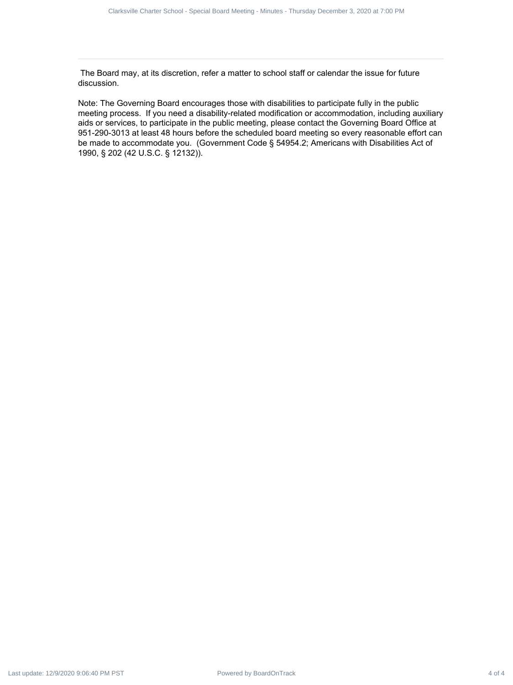The Board may, at its discretion, refer a matter to school staff or calendar the issue for future discussion.

Note: The Governing Board encourages those with disabilities to participate fully in the public meeting process. If you need a disability-related modification or accommodation, including auxiliary aids or services, to participate in the public meeting, please contact the Governing Board Office at 951-290-3013 at least 48 hours before the scheduled board meeting so every reasonable effort can be made to accommodate you. (Government Code § 54954.2; Americans with Disabilities Act of 1990, § 202 (42 U.S.C. § 12132)). Power ed BoardOnTrack 4 of 4 Clarksville Charter School - Special Board Meeting - Special Board Meeting - Special Board Meeting - Minutes - Minutes - Minutes - Minutes - Minutes - Minutes - Minutes - Minutes - Minutes - M